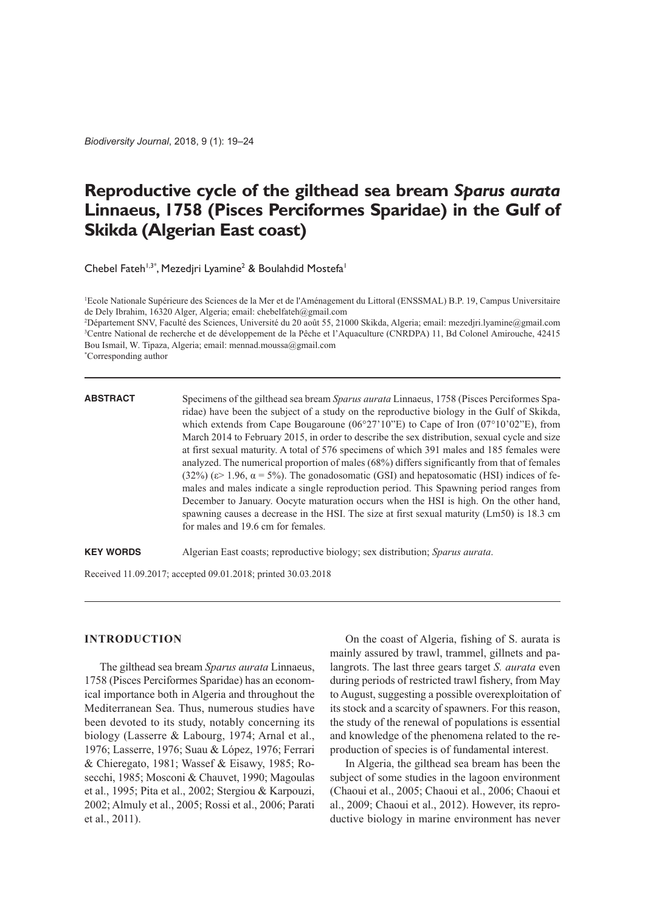*Biodiversity Journal*, 2018, 9 (1): 19–24

# **Reproductive cycle of the gilthead sea bream** *Sparus aurata* **Linnaeus, 1758 (Pisces Perciformes Sparidae) in the Gulf of Skikda (Algerian East coast)**

Chebel Fateh<sup>1,3\*</sup>, Mezedjri Lyamine<sup>2</sup> & Boulahdid Mostefa<sup>1</sup>

1 Ecole Nationale Supérieure des Sciences de la Mer et de l'Aménagement du Littoral (ENSSMAL) B.P. 19, Campus Universitaire de Dely Ibrahim, 16320 Alger, Algeria; email: chebelfateh@gmail.com

2 Département SNV, Faculté des Sciences, Université du 20 août 55, 21000 Skikda, Algeria; email: mezedjri.lyamine@gmail.com 3 Centre National de recherche et de développement de la Pêche et l'Aquaculture (CNRDPA) 11, Bd Colonel Amirouche, 42415 Bou Ismail, W. Tipaza, Algeria; email: mennad.moussa@gmail.com \* Corresponding author

**ABSTRACT** Specimens of the gilthead sea bream *Sparus aurata* Linnaeus, 1758 (Pisces Perciformes Sparidae) have been the subject of a study on the reproductive biology in the Gulf of Skikda, which extends from Cape Bougaroune  $(06^{\circ}27'10''E)$  to Cape of Iron  $(07^{\circ}10'02''E)$ , from March 2014 to February 2015, in order to describe the sex distribution, sexual cycle and size at first sexual maturity. A total of 576 specimens of which 391 males and 185 females were analyzed. The numerical proportion of males (68%) differs significantly from that of females (32%) ( $\varepsilon$  = 1.96,  $\alpha$  = 5%). The gonadosomatic (GSI) and hepatosomatic (HSI) indices of females and males indicate a single reproduction period. This Spawning period ranges from December to January. Oocyte maturation occurs when the HSI is high. On the other hand, spawning causes a decrease in the HSI. The size at first sexual maturity (Lm50) is 18.3 cm for males and 19.6 cm for females.

**KEY WORDS** Algerian East coasts; reproductive biology; sex distribution; *Sparus aurata*.

Received 11.09.2017; accepted 09.01.2018; printed 30.03.2018

## **INTRODUCTION**

The gilthead sea bream *Sparus aurata* Linnaeus, 1758 (Pisces Perciformes Sparidae) has an economical importance both in Algeria and throughout the Mediterranean Sea. Thus, numerous studies have been devoted to its study, notably concerning its biology (Lasserre & Labourg, 1974; Arnal et al., 1976; Lasserre, 1976; Suau & López, 1976; Ferrari & Chieregato, 1981; Wassef & Eisawy, 1985; Rosecchi, 1985; Mosconi & Chauvet, 1990; Magoulas et al., 1995; Pita et al., 2002; Stergiou & Karpouzi, 2002; Almuly et al., 2005; Rossi et al., 2006; Parati et al., 2011).

On the coast of Algeria, fishing of S. aurata is mainly assured by trawl, trammel, gillnets and palangrots. The last three gears target *S. aurata* even during periods of restricted trawl fishery, from May to August, suggesting a possible overexploitation of its stock and a scarcity of spawners. For this reason, the study of the renewal of populations is essential and knowledge of the phenomena related to the reproduction of species is of fundamental interest.

In Algeria, the gilthead sea bream has been the subject of some studies in the lagoon environment (Chaoui et al., 2005; Chaoui et al., 2006; Chaoui et al., 2009; Chaoui et al., 2012). However, its reproductive biology in marine environment has never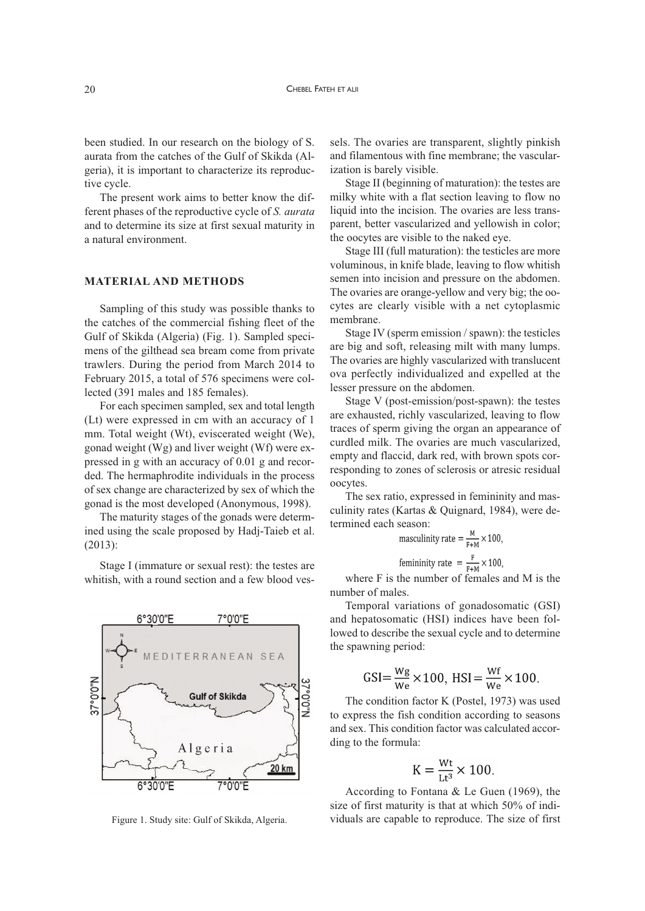been studied. In our research on the biology of S. aurata from the catches of the Gulf of Skikda (Algeria), it is important to characterize its reproductive cycle.

The present work aims to better know the different phases of the reproductive cycle of *S. aurata* and to determine its size at first sexual maturity in a natural environment.

# **MATERIAL AND METHODS**

Sampling of this study was possible thanks to the catches of the commercial fishing fleet of the Gulf of Skikda (Algeria) (Fig. 1). Sampled specimens of the gilthead sea bream come from private trawlers. During the period from March 2014 to February 2015, a total of 576 specimens were collected (391 males and 185 females).

For each specimen sampled, sex and total length (Lt) were expressed in cm with an accuracy of 1 mm. Total weight (Wt), eviscerated weight (We), gonad weight (Wg) and liver weight (Wf) were expressed in g with an accuracy of 0.01 g and recorded. The hermaphrodite individuals in the process of sex change are characterized by sex of which the gonad is the most developed (Anonymous, 1998).

The maturity stages of the gonads were determined using the scale proposed by Hadj-Taieb et al. (2013):

Stage I (immature or sexual rest): the testes are whitish, with a round section and a few blood ves-



Figure 1. Study site: Gulf of Skikda, Algeria.

sels. The ovaries are transparent, slightly pinkish and filamentous with fine membrane; the vascularization is barely visible.

Stage II (beginning of maturation): the testes are milky white with a flat section leaving to flow no liquid into the incision. The ovaries are less transparent, better vascularized and yellowish in color; the oocytes are visible to the naked eye.

Stage III (full maturation): the testicles are more voluminous, in knife blade, leaving to flow whitish semen into incision and pressure on the abdomen. The ovaries are orange-yellow and very big; the oocytes are clearly visible with a net cytoplasmic membrane.

Stage IV (sperm emission / spawn): the testicles are big and soft, releasing milt with many lumps. The ovaries are highly vascularized with translucent ova perfectly individualized and expelled at the lesser pressure on the abdomen.

Stage V (post-emission/post-spawn): the testes are exhausted, richly vascularized, leaving to flow traces of sperm giving the organ an appearance of curdled milk. The ovaries are much vascularized, empty and flaccid, dark red, with brown spots corresponding to zones of sclerosis or atresic residual oocytes.

The sex ratio, expressed in femininity and masculinity rates (Kartas & Quignard, 1984), were determined each season:

$$
\text{maxclinity rate} = \frac{M}{F+M} \times 100,
$$
\n
$$
\text{femininity rate} = \frac{F}{F+M} \times 100,
$$

where F is the number of females and M is the number of males.

Temporal variations of gonadosomatic (GSI) and hepatosomatic (HSI) indices have been followed to describe the sexual cycle and to determine the spawning period:

$$
GSI = \frac{Wg}{We} \times 100, \text{ HSI} = \frac{Wf}{We} \times 100.
$$

The condition factor K (Postel, 1973) was used to express the fish condition according to seasons and sex. This condition factor was calculated according to the formula:

$$
K = \frac{Wt}{Lt^3} \times 100.
$$

According to Fontana & Le Guen (1969), the size of first maturity is that at which 50% of individuals are capable to reproduce. The size of first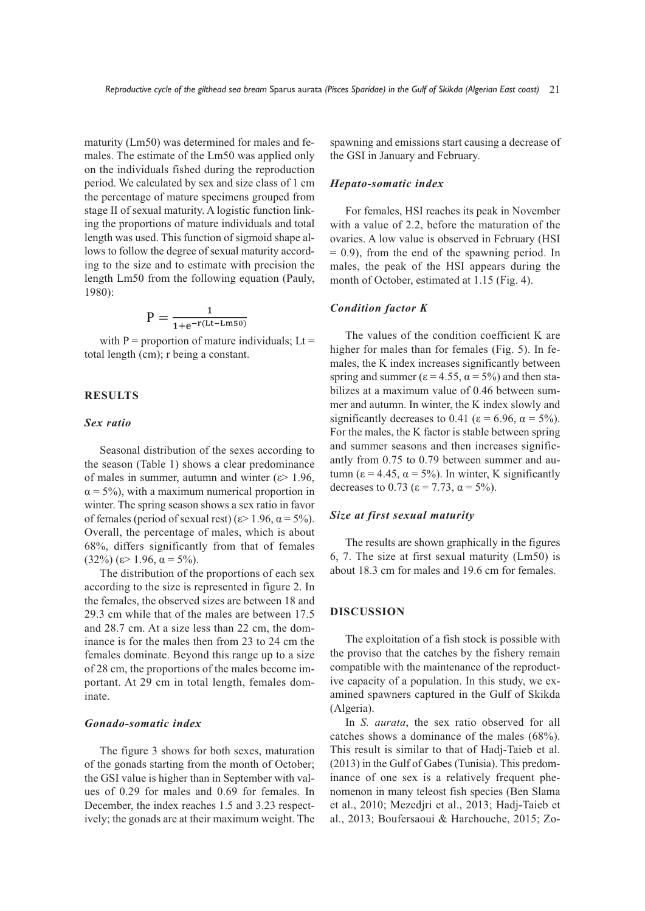maturity (Lm50) was determined for males and females. The estimate of the Lm50 was applied only on the individuals fished during the reproduction period. We calculated by sex and size class of 1 cm the percentage of mature specimens grouped from stage II of sexual maturity. A logistic function linking the proportions of mature individuals and total length was used. This function of sigmoid shape allows to follow the degree of sexual maturity according to the size and to estimate with precision the length Lm50 from the following equation (Pauly, 1980):

$$
P = \frac{1}{1 + e^{-r(Lt - Lms_0)}}
$$

with  $P =$  proportion of mature individuals; Lt = total length (cm); r being a constant.

## **RESULTS**

## *Sex ratio*

Seasonal distribution of the sexes according to the season (Table 1) shows a clear predominance of males in summer, autumn and winter ( $\varepsilon$  = 1.96,  $\alpha$  = 5%), with a maximum numerical proportion in winter. The spring season shows a sex ratio in favor of females (period of sexual rest) ( $\varepsilon$  > 1.96,  $\alpha$  = 5%). Overall, the percentage of males, which is about 68%, differs significantly from that of females (32%) (ε> 1.96,  $\alpha$  = 5%).

The distribution of the proportions of each sex according to the size is represented in figure 2. In the females, the observed sizes are between 18 and 29.3 cm while that of the males are between 17.5 and 28.7 cm. At a size less than 22 cm, the dominance is for the males then from 23 to 24 cm the females dominate. Beyond this range up to a size of 28 cm, the proportions of the males become important. At 29 cm in total length, females dominate.

#### *Gonado-somatic index*

The figure 3 shows for both sexes, maturation of the gonads starting from the month of October; the GSI value is higher than in September with values of 0.29 for males and 0.69 for females. In December, the index reaches 1.5 and 3.23 respectively; the gonads are at their maximum weight. The spawning and emissions start causing a decrease of the GSI in January and February.

#### *Hepato-somatic index*

For females, HSI reaches its peak in November with a value of 2.2, before the maturation of the ovaries. A low value is observed in February (HSI  $= 0.9$ ), from the end of the spawning period. In males, the peak of the HSI appears during the month of October, estimated at 1.15 (Fig. 4).

# *Condition factor K*

The values of the condition coefficient K are higher for males than for females (Fig. 5). In females, the K index increases significantly between spring and summer ( $\varepsilon$  = 4.55,  $\alpha$  = 5%) and then stabilizes at a maximum value of 0.46 between summer and autumn. In winter, the K index slowly and significantly decreases to 0.41 ( $\varepsilon$  = 6.96,  $\alpha$  = 5%). For the males, the K factor is stable between spring and summer seasons and then increases significantly from 0.75 to 0.79 between summer and autumn (ε = 4.45, α = 5%). In winter, K significantly decreases to 0.73 ( $\varepsilon$  = 7.73,  $\alpha$  = 5%).

#### *Size at first sexual maturity*

The results are shown graphically in the figures 6, 7. The size at first sexual maturity (Lm50) is about 18.3 cm for males and 19.6 cm for females.

# **DISCUSSION**

The exploitation of a fish stock is possible with the proviso that the catches by the fishery remain compatible with the maintenance of the reproductive capacity of a population. In this study, we examined spawners captured in the Gulf of Skikda (Algeria).

In *S. aurata*, the sex ratio observed for all catches shows a dominance of the males (68%). This result is similar to that of Hadj-Taieb et al. (2013) in the Gulf of Gabes (Tunisia). This predominance of one sex is a relatively frequent phenomenon in many teleost fish species (Ben Slama et al., 2010; Mezedjri et al., 2013; Hadj-Taieb et al., 2013; Boufersaoui & Harchouche, 2015; Zo-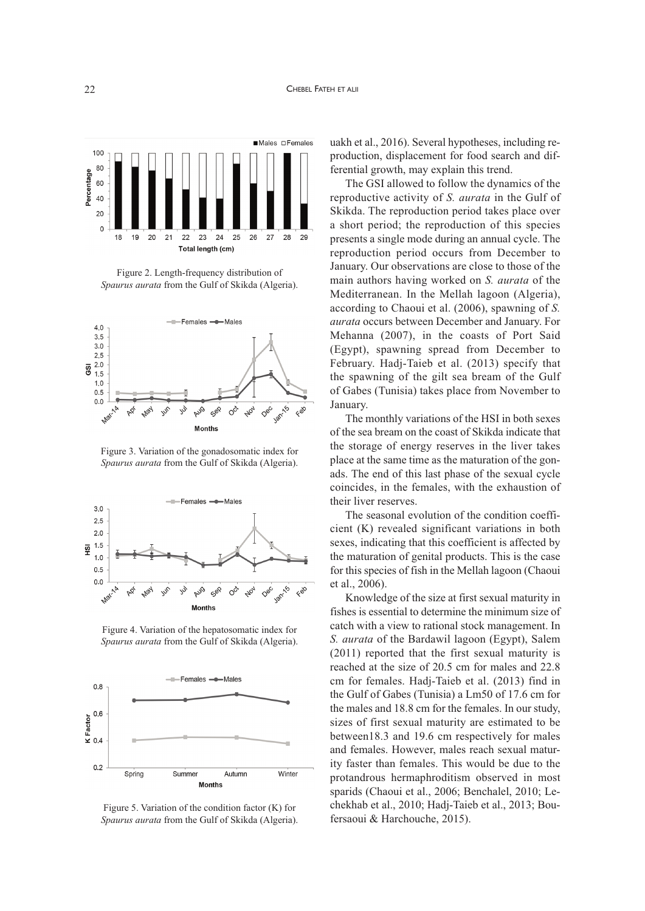

Figure 2. Length-frequency distribution of *Spaurus aurata* from the Gulf of Skikda (Algeria).



Figure 3. Variation of the gonadosomatic index for *Spaurus aurata* from the Gulf of Skikda (Algeria).



Figure 4. Variation of the hepatosomatic index for *Spaurus aurata* from the Gulf of Skikda (Algeria).



Figure 5. Variation of the condition factor (K) for *Spaurus aurata* from the Gulf of Skikda (Algeria).

uakh et al., 2016). Several hypotheses, including reproduction, displacement for food search and differential growth, may explain this trend.

The GSI allowed to follow the dynamics of the reproductive activity of *S. aurata* in the Gulf of Skikda. The reproduction period takes place over a short period; the reproduction of this species presents a single mode during an annual cycle. The reproduction period occurs from December to January. Our observations are close to those of the main authors having worked on *S. aurata* of the Mediterranean. In the Mellah lagoon (Algeria), according to Chaoui et al. (2006), spawning of *S. aurata* occurs between December and January. For Mehanna (2007), in the coasts of Port Said (Egypt), spawning spread from December to February. Hadj-Taieb et al. (2013) specify that the spawning of the gilt sea bream of the Gulf of Gabes (Tunisia) takes place from November to January.

The monthly variations of the HSI in both sexes of the sea bream on the coast of Skikda indicate that the storage of energy reserves in the liver takes place at the same time as the maturation of the gonads. The end of this last phase of the sexual cycle coincides, in the females, with the exhaustion of their liver reserves.

The seasonal evolution of the condition coefficient (K) revealed significant variations in both sexes, indicating that this coefficient is affected by the maturation of genital products. This is the case for this species of fish in the Mellah lagoon (Chaoui et al., 2006).

Knowledge of the size at first sexual maturity in fishes is essential to determine the minimum size of catch with a view to rational stock management. In *S. aurata* of the Bardawil lagoon (Egypt), Salem (2011) reported that the first sexual maturity is reached at the size of 20.5 cm for males and 22.8 cm for females. Hadj-Taieb et al. (2013) find in the Gulf of Gabes (Tunisia) a Lm50 of 17.6 cm for the males and 18.8 cm for the females. In our study, sizes of first sexual maturity are estimated to be between18.3 and 19.6 cm respectively for males and females. However, males reach sexual maturity faster than females. This would be due to the protandrous hermaphroditism observed in most sparids (Chaoui et al., 2006; Benchalel, 2010; Lechekhab et al., 2010; Hadj-Taieb et al., 2013; Boufersaoui & Harchouche, 2015).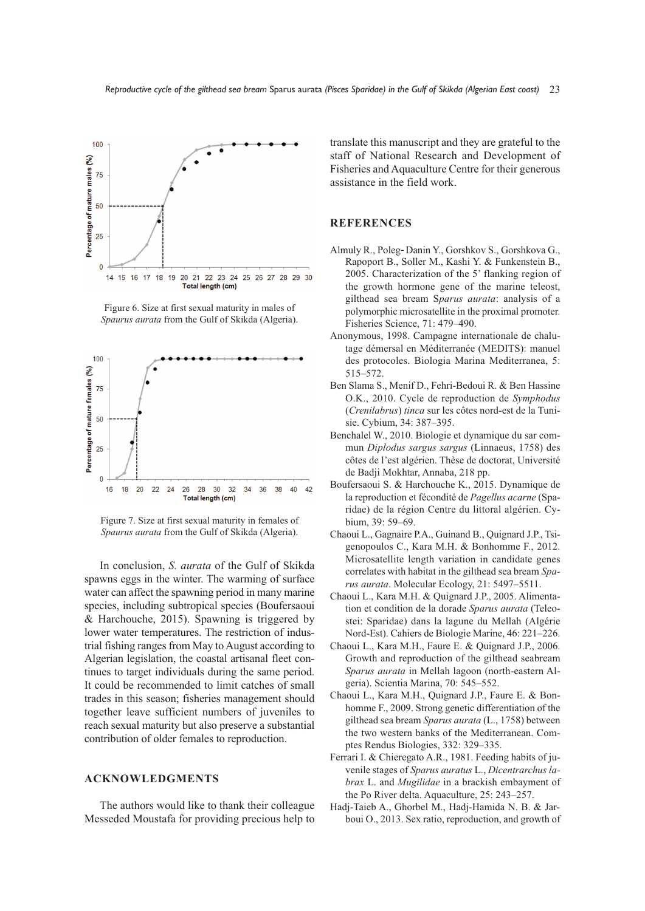

Figure 6. Size at first sexual maturity in males of *Spaurus aurata* from the Gulf of Skikda (Algeria).



Figure 7. Size at first sexual maturity in females of *Spaurus aurata* from the Gulf of Skikda (Algeria).

In conclusion, *S. aurata* of the Gulf of Skikda spawns eggs in the winter. The warming of surface water can affect the spawning period in many marine species, including subtropical species (Boufersaoui & Harchouche, 2015). Spawning is triggered by lower water temperatures. The restriction of industrial fishing ranges from May to August according to Algerian legislation, the coastal artisanal fleet continues to target individuals during the same period. It could be recommended to limit catches of small trades in this season; fisheries management should together leave sufficient numbers of juveniles to reach sexual maturity but also preserve a substantial contribution of older females to reproduction.

# **ACKNOWLEDGMENTS**

The authors would like to thank their colleague Messeded Moustafa for providing precious help to

translate this manuscript and they are grateful to the staff of National Research and Development of Fisheries and Aquaculture Centre for their generous assistance in the field work.

# **REFERENCES**

- Almuly R., Poleg-Danin Y., Gorshkov S., Gorshkova G., Rapoport B., Soller M., Kashi Y. & Funkenstein B., 2005. Characterization of the 5' flanking region of the growth hormone gene of the marine teleost, gilthead sea bream S*parus aurata*: analysis of a polymorphic microsatellite in the proximal promoter. Fisheries Science, 71: 479–490.
- Anonymous, 1998. Campagne internationale de chalutage démersal en Méditerranée (MEDITS): manuel des protocoles. Biologia Marina Mediterranea, 5: 515–572.
- Ben Slama S., Menif D., Fehri-Bedoui R. & Ben Hassine O.K., 2010. Cycle de reproduction de *Symphodus* (*Crenilabrus*) *tinca* sur les côtes nord-est de la Tunisie. Cybium, 34: 387–395.
- Benchalel W., 2010. Biologie et dynamique du sar commun *Diplodus sargus sargus* (Linnaeus, 1758) des côtes de l'est algérien. Thèse de doctorat, Université de Badji Mokhtar, Annaba, 218 pp.
- Boufersaoui S. & Harchouche K., 2015. Dynamique de la reproduction et fécondité de *Pagellus acarne* (Sparidae) de la région Centre du littoral algérien. Cybium, 39: 59–69.
- Chaoui L., Gagnaire P.A., Guinand B., Quignard J.P., Tsigenopoulos C., Kara M.H. & Bonhomme F., 2012. Microsatellite length variation in candidate genes correlates with habitat in the gilthead sea bream *Sparus aurata*. Molecular Ecology, 21: 5497–5511.
- Chaoui L., Kara M.H. & Quignard J.P., 2005. Alimentation et condition de la dorade *Sparus aurata* (Teleostei: Sparidae) dans la lagune du Mellah (Algérie Nord-Est). Cahiers de Biologie Marine, 46: 221–226.
- Chaoui L., Kara M.H., Faure E. & Quignard J.P., 2006. Growth and reproduction of the gilthead seabream *Sparus aurata* in Mellah lagoon (north-eastern Algeria). Scientia Marina, 70: 545–552.
- Chaoui L., Kara M.H., Quignard J.P., Faure E. & Bonhomme F., 2009. Strong genetic differentiation of the gilthead sea bream *Sparus aurata* (L., 1758) between the two western banks of the Mediterranean. Comptes Rendus Biologies, 332: 329–335.
- Ferrari I. & Chieregato A.R., 1981. Feeding habits of juvenile stages of *Sparus auratus* L., *Dicentrarchus labrax* L. and *Mugilidae* in a brackish embayment of the Po River delta. Aquaculture, 25: 243–257.
- Hadj-Taieb A., Ghorbel M., Hadj-Hamida N. B. & Jarboui O., 2013. Sex ratio, reproduction, and growth of